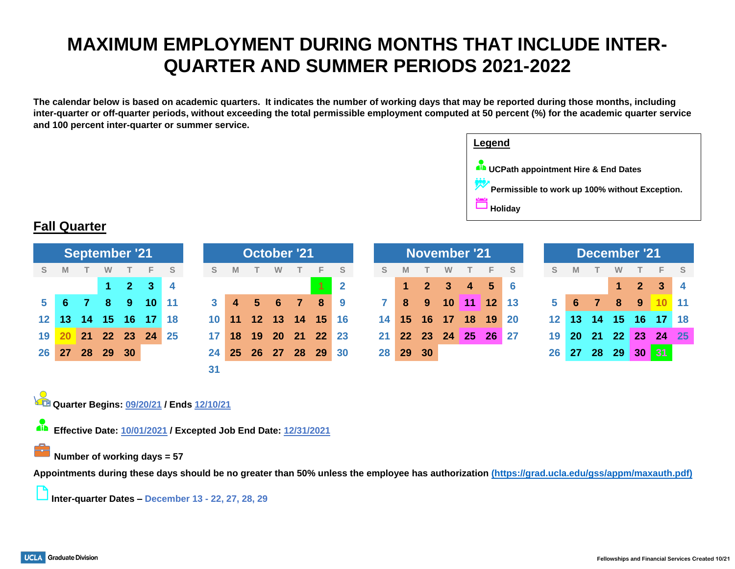# **MAXIMUM EMPLOYMENT DURING MONTHS THAT INCLUDE INTER-QUARTER AND SUMMER PERIODS 2021-2022**

**The calendar below is based on academic quarters. It indicates the number of working days that may be reported during those months, including inter-quarter or off-quarter periods, without exceeding the total permissible employment computed at 50 percent (%) for the academic quarter service and 100 percent inter-quarter or summer service.**



## **Fall Quarter**

| <b>September '21</b> |    |                 |    |             |                 |      | <b>October '21</b> |                 |           |          |                |               | <b>November '21</b> |                 |                 |            |         |                |               |                   | <b>December '21</b> |           |     |               |              |                |   |
|----------------------|----|-----------------|----|-------------|-----------------|------|--------------------|-----------------|-----------|----------|----------------|---------------|---------------------|-----------------|-----------------|------------|---------|----------------|---------------|-------------------|---------------------|-----------|-----|---------------|--------------|----------------|---|
| S.                   | M  |                 | w  |             | F.              | S    | S.                 | M               |           | w        |                | E.            | - S                 | S               |                 |            | W       |                | E.            | S.                | S.                  | M         |     | w             |              | F.             | S |
|                      |    |                 |    | $1 \quad 2$ | 3 <sup>1</sup>  | -4   |                    |                 |           |          |                |               | $\vert 2 \vert$     |                 |                 | $\sqrt{2}$ | -3      | $\overline{4}$ | $\sqrt{5}$    | l 6               |                     |           |     |               | $\mathbf{2}$ | 3 <sup>1</sup> |   |
| 5.                   | -6 |                 | 8  | -9          | 10 <sup>°</sup> | ∥ 11 |                    | $\overline{4}$  | 5         | 6        | $\overline{7}$ | 8             | - 9                 |                 | 8               | 9          | $10$ 11 |                | $12 \quad 13$ |                   | 5                   | 6         |     | 8             | -9           | $10 \quad 11$  |   |
| 12 <sup>12</sup>     | 13 | 14 <sup>1</sup> | 45 | 16∶         | 17              | -18  | 10                 | 11              |           | 12 13 14 |                | $15 \quad 16$ |                     | 14 <sup>1</sup> | 15              | 16         | 17      | 18             | 19            | $\blacksquare$ 20 | 12 <sup>1</sup>     | 13        | -14 | 15            | -16          | 17             |   |
| 19                   |    | 21              |    | 22 23       | 24              | -25  | 17                 | 18              | 19        | 20 21    |                | 22 23         |                     | 21 <sub>1</sub> | 22 <sub>2</sub> | 23         | 24      | 25             | 26 27         |                   | 19                  | <b>20</b> |     | $21 \quad 22$ | <b>23</b>    | 24 25          |   |
| 26                   | 27 | 28              | 29 | 30          |                 |      | 24                 | 25 <sub>2</sub> | <b>26</b> | 27 28    |                | -29           | l 30                |                 | 28 29           | 30         |         |                |               |                   | 26                  | 27        | 28  | 29            | 30           | <b>B17</b>     |   |
|                      |    |                 |    |             |                 |      | 31                 |                 |           |          |                |               |                     |                 |                 |            |         |                |               |                   |                     |           |     |               |              |                |   |

**Quarter Begins: 09/20/21 / Ends 12/10/21**

dia<br>11 **Effective Date: 10/01/2021 / Excepted Job End Date: 12/31/2021**

#### **Number of working days = 57**

**Appointments during these days should be no greater than 50% unless the employee has authorization [\(https://grad.ucla.edu/gss/appm/maxauth.pdf\)](https://grad.ucla.edu/gss/appm/maxauth.pdf)**

**Inter-quarter Dates – December 13 - 22, 27, 28, 29**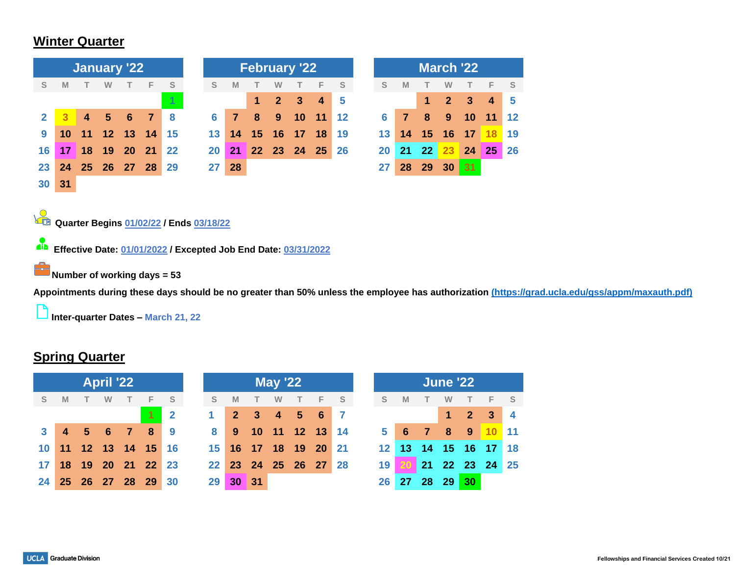## **Winter Quarter**

|              |    |                         |                | <b>January '22</b> |                |                                                                                                           |           |                |    |                | <b>February '22</b> |                |    | <b>March '22</b> |    |    |    |                |              |    |    |  |  |  |
|--------------|----|-------------------------|----------------|--------------------|----------------|-----------------------------------------------------------------------------------------------------------|-----------|----------------|----|----------------|---------------------|----------------|----|------------------|----|----|----|----------------|--------------|----|----|--|--|--|
| S            | M  | т                       | W              |                    | F              | S                                                                                                         | S         | M              |    | w              |                     | F              | S  |                  | S  | M  |    | W              |              | F  | S  |  |  |  |
|              |    |                         |                |                    |                | 1                                                                                                         |           |                | 1  | $\overline{2}$ | $\mathbf{3}$        | $\overline{4}$ | 5  |                  |    |    | 1  | $\overline{2}$ | $\mathbf{3}$ | 4  | 5  |  |  |  |
| $\mathbf{2}$ |    | $\overline{\mathbf{4}}$ | $5\phantom{1}$ | 6                  | $\overline{7}$ | 8                                                                                                         | 6         | $\overline{7}$ | 8  | 9              | 10                  | 11             | 12 |                  | 6  | 7  | 8  | 9              | 10           | 11 | 12 |  |  |  |
| 9            | 10 | 11                      |                | 12 13              | 14             | 15                                                                                                        | 13        | 14             | 15 | 16             | 17                  | 18             | 19 |                  | 13 | 14 | 15 | 16             | 17           | 18 | 19 |  |  |  |
| 16           | 17 | 18                      | 19             | <b>20</b>          | 21             | 22                                                                                                        | <b>20</b> | 21             |    | 22 23          | 24                  | 25             | 26 |                  | 20 | 21 | 22 | 23             | 24           | 25 | 26 |  |  |  |
| 23           | 24 | 25                      | 26 27          |                    | 28             | 29                                                                                                        | 27        | 28             |    |                |                     |                |    |                  | 27 | 28 | 29 | 30             | 31           |    |    |  |  |  |
| 30           | 31 |                         |                |                    |                |                                                                                                           |           |                |    |                |                     |                |    |                  |    |    |    |                |              |    |    |  |  |  |
| <u>ain</u>   |    |                         |                |                    |                | Quarter Begins 01/02/22 / Ends 03/18/22<br>Effective Date: 01/01/2022 / Excepted Job End Date: 03/31/2022 |           |                |    |                |                     |                |    |                  |    |    |    |                |              |    |    |  |  |  |

**Number of working days = 53** 

**Appointments during these days should be no greater than 50% unless the employee has authorization [\(https://grad.ucla.edu/gss/appm/maxauth.pdf\)](https://grad.ucla.edu/gss/appm/maxauth.pdf)**

**Inter-quarter Dates – March 21, 22**

## **Spring Quarter**

|                 |  |                   |   |                |                      | <b>May '22</b> |                 |                 | <b>June '22</b> |        |                                          |                |                 |          |              |                |       |                         |                   |                      |                         |
|-----------------|--|-------------------|---|----------------|----------------------|----------------|-----------------|-----------------|-----------------|--------|------------------------------------------|----------------|-----------------|----------|--------------|----------------|-------|-------------------------|-------------------|----------------------|-------------------------|
| S.              |  |                   | W | T              | F.                   | - S            | S               | M               |                 | $\top$ | W                                        | $\top$         | $-F$            | <b>S</b> | <sub>S</sub> | <b>M</b>       |       | W                       |                   | F                    | <b>S</b>                |
|                 |  |                   |   |                |                      | $\mathbf{2}$   | 1               |                 | $2 \quad 3$     |        | $\begin{array}{ccc} & 4 & 5 \end{array}$ |                | 6 <sup>17</sup> |          |              |                |       |                         | <b>27</b>         | $\mathbf{3}$         | $\overline{\mathbf{4}}$ |
|                 |  | $4\quad 5\quad 6$ |   | $\overline{7}$ | - 8                  | - 9            | 8               | 9               |                 |        |                                          | 10 11 12 13    |                 | 14       | 5            | 6 <sub>7</sub> |       | $\overline{\mathbf{8}}$ | $9 \overline{10}$ |                      | $\blacksquare$ 11       |
|                 |  |                   |   |                | 10 11 12 13 14 15 16 |                | 15 <sup>1</sup> |                 |                 |        |                                          | 16 17 18 19 20 |                 | 21       |              |                |       |                         |                   | 12 13 14 15 16 17 18 |                         |
| 17 <sup>1</sup> |  |                   |   |                | 18 19 20 21 22 23    |                |                 | 22 <sub>1</sub> |                 |        |                                          | 23 24 25 26 27 |                 | -28      | 19           | <b>20</b>      |       |                         |                   | 21 22 23 24 25       |                         |
| 24              |  |                   |   |                | 25 26 27 28 29 30    |                | 29              |                 | 30 31           |        |                                          |                |                 |          | 26           | 27             | 28 29 |                         | 30 <sub>1</sub>   |                      |                         |

|                 |              |    |             |    | <b>May '22</b> |       |                      |     | <b>June '22</b> |                 |    |             |            |                      |          |  |  |
|-----------------|--------------|----|-------------|----|----------------|-------|----------------------|-----|-----------------|-----------------|----|-------------|------------|----------------------|----------|--|--|
| F.              | <sub>S</sub> | -S | M           |    | W              |       | F.                   | - S | S               | M               |    | W           |            |                      | <b>S</b> |  |  |
|                 | $\mathbf{2}$ | 1  | $2 \quad 3$ |    | $\overline{4}$ | $-5-$ | $-6$                 |     |                 |                 |    | $\mathbf 1$ | $\sqrt{2}$ | $\mathbf{3}$         | - 4      |  |  |
| 8               | 9            | 8  | 9           |    |                |       | 10 11 12 13 14       |     | 5 <sup>1</sup>  | - 6             | 77 | $-8$        | 9          | 10                   | $-11$    |  |  |
| 15 <sup>1</sup> | <b>16</b>    |    |             |    |                |       | 15 16 17 18 19 20 21 |     |                 |                 |    |             |            | 12 13 14 15 16 17 18 |          |  |  |
|                 | $22$ 23      |    |             |    |                |       | 22 23 24 25 26 27 28 |     | 19              | 20 <sub>1</sub> |    |             |            | 21 22 23 24          | 25       |  |  |
| 29 <sup>°</sup> | 30           | 29 | 30          | 31 |                |       |                      |     | 26              | 27 28 29        |    |             | 30         |                      |          |  |  |